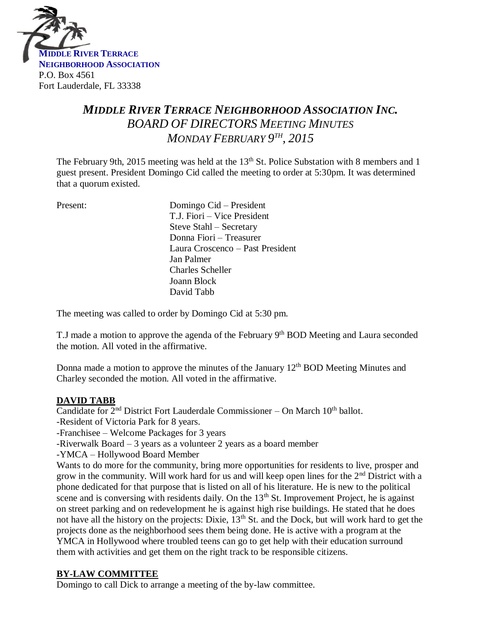

# *MIDDLE RIVER TERRACE NEIGHBORHOOD ASSOCIATION INC. BOARD OF DIRECTORS MEETING MINUTES MONDAY FEBRUARY 9 TH , 2015*

The February 9th, 2015 meeting was held at the  $13<sup>th</sup>$  St. Police Substation with 8 members and 1 guest present. President Domingo Cid called the meeting to order at 5:30pm. It was determined that a quorum existed.

| Present: | Domingo Cid – President          |
|----------|----------------------------------|
|          | T.J. Fiori – Vice President      |
|          | Steve Stahl – Secretary          |
|          | Donna Fiori - Treasurer          |
|          | Laura Croscenco – Past President |
|          | Jan Palmer                       |
|          | <b>Charles Scheller</b>          |
|          | Joann Block                      |
|          | David Tabb                       |
|          |                                  |

The meeting was called to order by Domingo Cid at 5:30 pm.

T.J made a motion to approve the agenda of the February  $9<sup>th</sup>$  BOD Meeting and Laura seconded the motion. All voted in the affirmative.

Donna made a motion to approve the minutes of the January  $12<sup>th</sup> BOD$  Meeting Minutes and Charley seconded the motion. All voted in the affirmative.

# **DAVID TABB**

Candidate for  $2^{nd}$  District Fort Lauderdale Commissioner – On March 10<sup>th</sup> ballot.

-Resident of Victoria Park for 8 years.

-Franchisee – Welcome Packages for 3 years

-Riverwalk Board – 3 years as a volunteer 2 years as a board member

-YMCA – Hollywood Board Member

Wants to do more for the community, bring more opportunities for residents to live, prosper and grow in the community. Will work hard for us and will keep open lines for the  $2<sup>nd</sup>$  District with a phone dedicated for that purpose that is listed on all of his literature. He is new to the political scene and is conversing with residents daily. On the  $13<sup>th</sup>$  St. Improvement Project, he is against on street parking and on redevelopment he is against high rise buildings. He stated that he does not have all the history on the projects: Dixie,  $13<sup>th</sup>$  St. and the Dock, but will work hard to get the projects done as the neighborhood sees them being done. He is active with a program at the YMCA in Hollywood where troubled teens can go to get help with their education surround them with activities and get them on the right track to be responsible citizens.

# **BY-LAW COMMITTEE**

Domingo to call Dick to arrange a meeting of the by-law committee.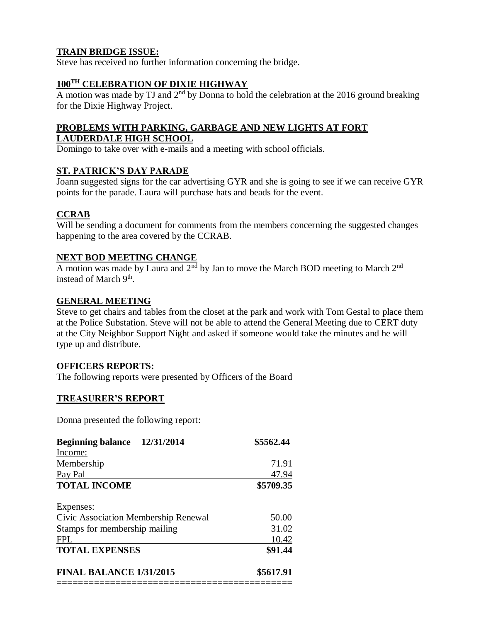# **TRAIN BRIDGE ISSUE:**

Steve has received no further information concerning the bridge.

# **100TH CELEBRATION OF DIXIE HIGHWAY**

A motion was made by TJ and  $2<sup>nd</sup>$  by Donna to hold the celebration at the 2016 ground breaking for the Dixie Highway Project.

## **PROBLEMS WITH PARKING, GARBAGE AND NEW LIGHTS AT FORT LAUDERDALE HIGH SCHOOL**

Domingo to take over with e-mails and a meeting with school officials.

## **ST. PATRICK'S DAY PARADE**

Joann suggested signs for the car advertising GYR and she is going to see if we can receive GYR points for the parade. Laura will purchase hats and beads for the event.

## **CCRAB**

Will be sending a document for comments from the members concerning the suggested changes happening to the area covered by the CCRAB.

### **NEXT BOD MEETING CHANGE**

A motion was made by Laura and  $2<sup>nd</sup>$  by Jan to move the March BOD meeting to March  $2<sup>nd</sup>$ instead of March 9<sup>th</sup>.

### **GENERAL MEETING**

Steve to get chairs and tables from the closet at the park and work with Tom Gestal to place them at the Police Substation. Steve will not be able to attend the General Meeting due to CERT duty at the City Neighbor Support Night and asked if someone would take the minutes and he will type up and distribute.

### **OFFICERS REPORTS:**

The following reports were presented by Officers of the Board

### **TREASURER'S REPORT**

Donna presented the following report:

| 12/31/2014<br><b>Beginning balance</b> | \$5562.44 |
|----------------------------------------|-----------|
| Income:                                |           |
| Membership                             | 71.91     |
| Pay Pal                                | 47.94     |
| <b>TOTAL INCOME</b>                    | \$5709.35 |
| Expenses:                              |           |
| Civic Association Membership Renewal   | 50.00     |
| Stamps for membership mailing          | 31.02     |
| <b>FPL</b>                             | 10.42     |
| <b>TOTAL EXPENSES</b>                  | \$91.44   |
| <b>FINAL BALANCE 1/31/2015</b>         | \$5617.91 |
|                                        |           |